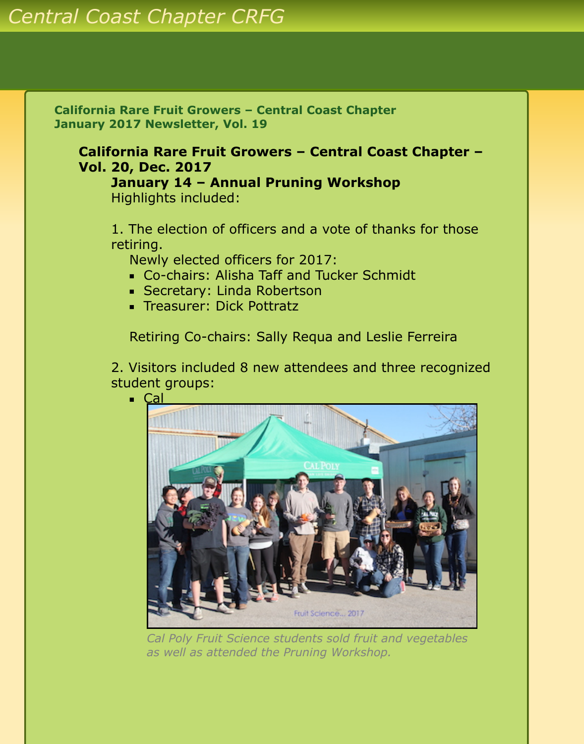**California Rare Fruit Growers – Central Coast Chapter January 2017 Newsletter, Vol. 19**

### **California Rare Fruit Growers – Central Coast Chapter – Vol. 20, Dec. 2017**

**January 14 – Annual Pruning Workshop** Highlights included:

1. The election of officers and a vote of thanks for those retiring.

Newly elected officers for 2017:

- **Co-chairs: Alisha Taff and Tucker Schmidt**
- **Secretary: Linda Robertson**
- **Filter**: Dick Pottratz

Retiring Co-chairs: Sally Requa and Leslie Ferreira

2. Visitors included 8 new attendees and three recognized student groups:



*Cal Poly Fruit Science students sold fruit and vegetables as well as attended the Pruning Workshop.*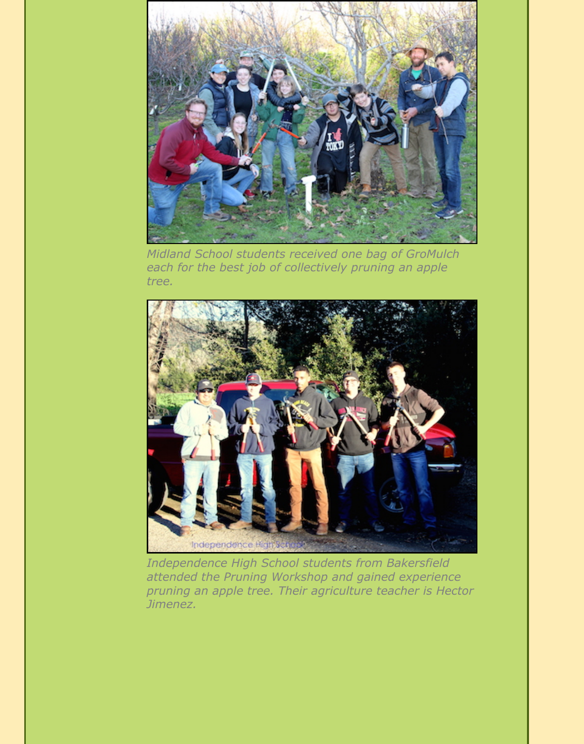

*Midland School students received one bag of GroMulch each for the best job of collectively pruning an apple tree.*



*Independence High School students from Bakersfield attended the Pruning Workshop and gained experience pruning an apple tree. Their agriculture teacher is Hector Jimenez.*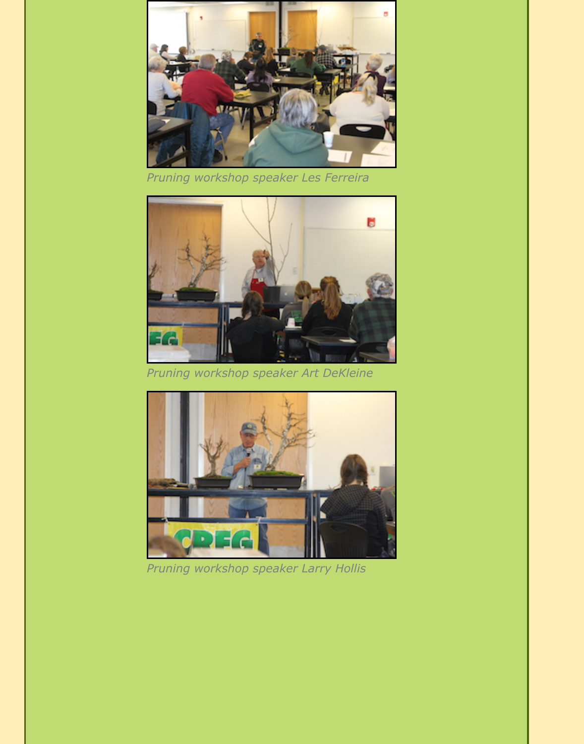

*Pruning workshop speaker Les Ferreira*



*Pruning workshop speaker Art DeKleine*



*Pruning workshop speaker Larry Hollis*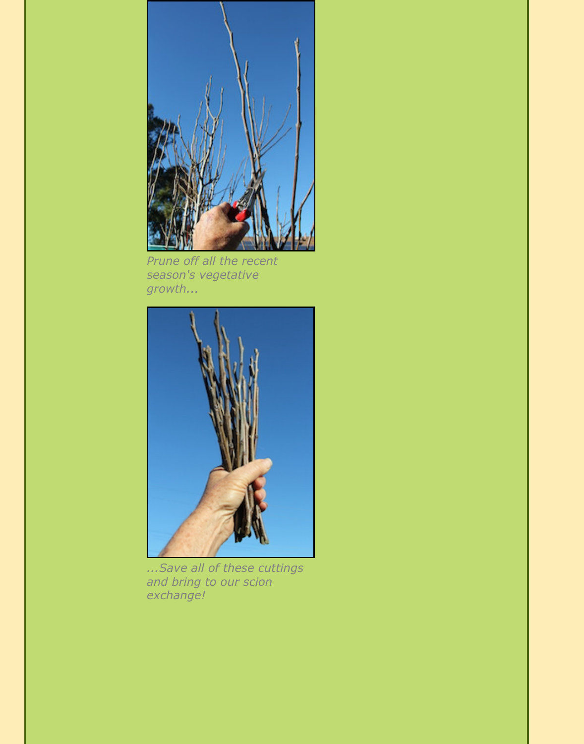

*Prune off all the recent season's vegetative growth...*



*...Save all of these cuttings and bring to our scion exchange!*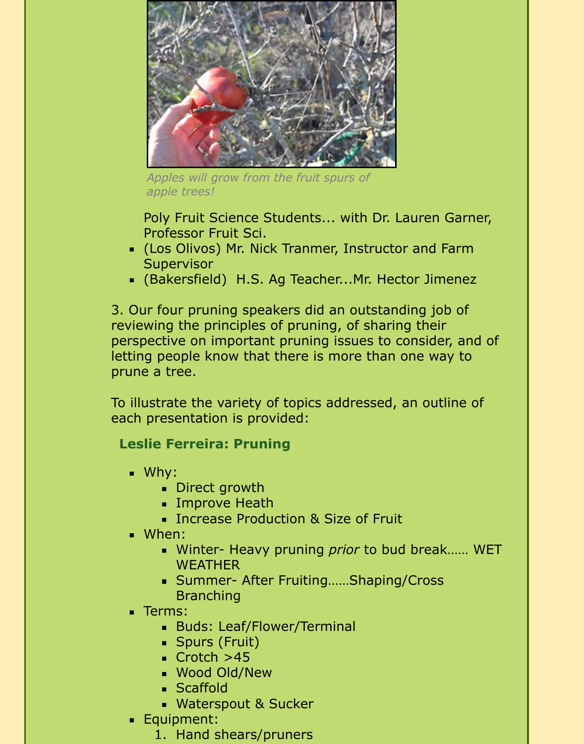

*Apples will grow from the fruit spurs of apple trees!*

Poly Fruit Science Students... with Dr. Lauren Garner, Professor Fruit Sci.

- (Los Olivos) Mr. Nick Tranmer, Instructor and Farm Supervisor
- (Bakersfield) H.S. Ag Teacher...Mr. Hector Jimenez

3. Our four pruning speakers did an outstanding job of reviewing the principles of pruning, of sharing their perspective on important pruning issues to consider, and of letting people know that there is more than one way to prune a tree.

To illustrate the variety of topics addressed, an outline of each presentation is provided:

## **Leslie Ferreira: Pruning**

- Why:
	- **Direct growth**
	- **Improve Heath**
	- **Increase Production & Size of Fruit**
- When:
	- Winter- Heavy pruning *prior* to bud break…… WET WEATHER
	- Summer- After Fruiting......Shaping/Cross Branching
- **Terms:** 
	- **Buds: Leaf/Flower/Terminal**
	- **Spurs (Fruit)**
	- $\overline{\phantom{0}}$  Crotch >45
	- Wood Old/New
	- **Scaffold**
	- **Waterspout & Sucker**
- **Equipment:** 
	- 1. Hand shears/pruners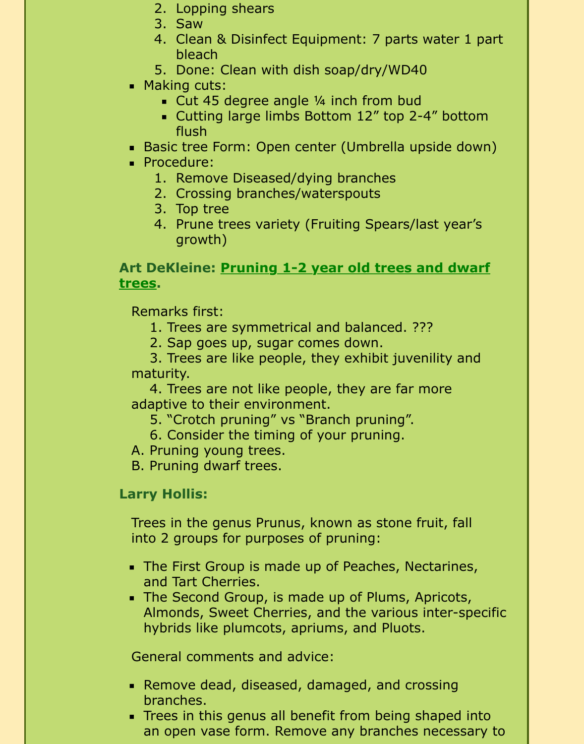- 2. Lopping shears
- 3. Saw
- 4. Clean & Disinfect Equipment: 7 parts water 1 part bleach
- 5. Done: Clean with dish soap/dry/WD40
- **Making cuts:** 
	- Cut 45 degree angle ¼ inch from bud
	- Cutting large limbs Bottom 12" top 2-4" bottom flush
- Basic tree Form: Open center (Umbrella upside down)
- **Procedure:** 
	- 1. Remove Diseased/dying branches
	- 2. Crossing branches/waterspouts
	- 3. Top tree
	- 4. Prune trees variety (Fruiting Spears/last year's growth)

#### **[Art DeKleine: Pruning 1-2 year old trees and dwarf](http://www.crfg-central.org/PruningYoungTrees.pdf) trees.**

Remarks first:

- 1. Trees are symmetrical and balanced. ???
- 2. Sap goes up, sugar comes down.

 3. Trees are like people, they exhibit juvenility and maturity.

 4. Trees are not like people, they are far more adaptive to their environment.

- 5. "Crotch pruning" vs "Branch pruning".
- 6. Consider the timing of your pruning.
- A. Pruning young trees.

B. Pruning dwarf trees.

# **Larry Hollis:**

Trees in the genus Prunus, known as stone fruit, fall into 2 groups for purposes of pruning:

- The First Group is made up of Peaches, Nectarines, and Tart Cherries.
- The Second Group, is made up of Plums, Apricots, Almonds, Sweet Cherries, and the various inter-specific hybrids like plumcots, apriums, and Pluots.

General comments and advice:

- Remove dead, diseased, damaged, and crossing branches.
- Trees in this genus all benefit from being shaped into an open vase form. Remove any branches necessary to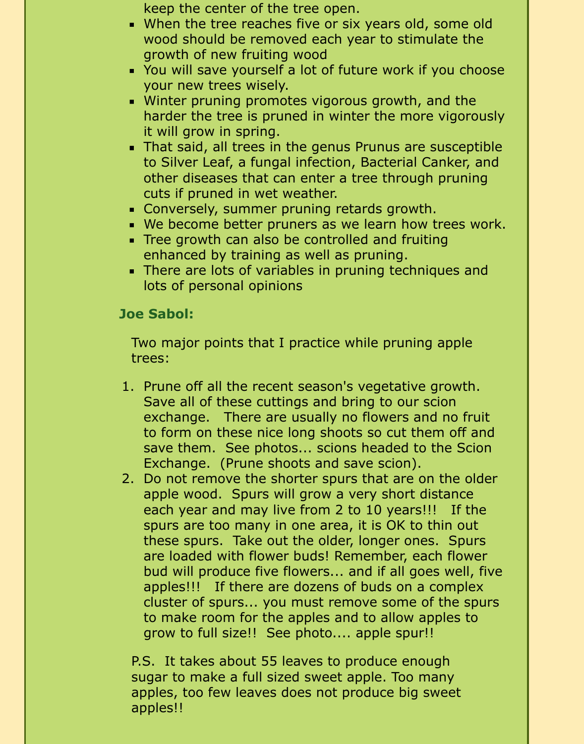- keep the center of the tree open.
- When the tree reaches five or six years old, some old wood should be removed each year to stimulate the growth of new fruiting wood
- You will save yourself a lot of future work if you choose your new trees wisely.
- Winter pruning promotes vigorous growth, and the harder the tree is pruned in winter the more vigorously it will grow in spring.
- That said, all trees in the genus Prunus are susceptible to Silver Leaf, a fungal infection, Bacterial Canker, and other diseases that can enter a tree through pruning cuts if pruned in wet weather.
- **EX Conversely, summer pruning retards growth.**
- We become better pruners as we learn how trees work.
- Tree growth can also be controlled and fruiting enhanced by training as well as pruning.
- There are lots of variables in pruning techniques and lots of personal opinions

#### **Joe Sabol:**

Two major points that I practice while pruning apple trees:

- 1. Prune off all the recent season's vegetative growth. Save all of these cuttings and bring to our scion exchange. There are usually no flowers and no fruit to form on these nice long shoots so cut them off and save them. See photos... scions headed to the Scion Exchange. (Prune shoots and save scion).
- 2. Do not remove the shorter spurs that are on the older apple wood. Spurs will grow a very short distance each year and may live from 2 to 10 years!!! If the spurs are too many in one area, it is OK to thin out these spurs. Take out the older, longer ones. Spurs are loaded with flower buds! Remember, each flower bud will produce five flowers... and if all goes well, five apples!!! If there are dozens of buds on a complex cluster of spurs... you must remove some of the spurs to make room for the apples and to allow apples to grow to full size!! See photo.... apple spur!!

P.S. It takes about 55 leaves to produce enough sugar to make a full sized sweet apple. Too many apples, too few leaves does not produce big sweet apples!!